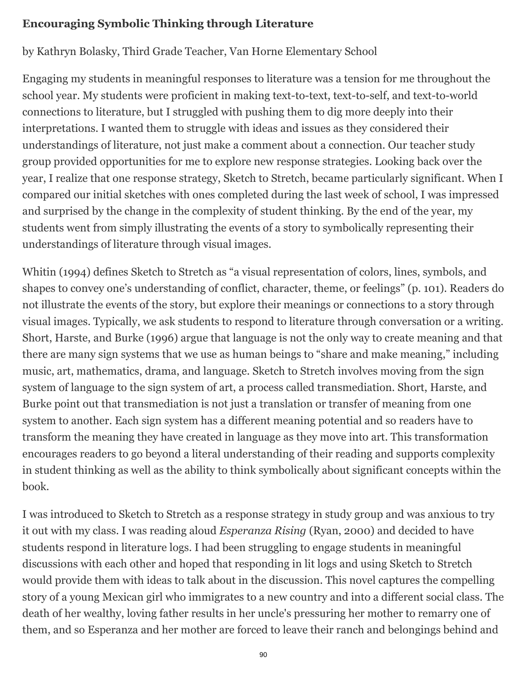## **Encouraging Symbolic Thinking through Literature**

by Kathryn Bolasky, Third Grade Teacher, Van Horne Elementary School

Engaging my students in meaningful responses to literature was a tension for me throughout the school year. My students were proficient in making text-to-text, text-to-self, and text-to-world connections to literature, but I struggled with pushing them to dig more deeply into their interpretations. I wanted them to struggle with ideas and issues as they considered their understandings of literature, not just make a comment about a connection. Our teacher study group provided opportunities for me to explore new response strategies. Looking back over the year, I realize that one response strategy, Sketch to Stretch, became particularly significant. When I compared our initial sketches with ones completed during the last week of school, I was impressed and surprised by the change in the complexity of student thinking. By the end of the year, my students went from simply illustrating the events of a story to symbolically representing their understandings of literature through visual images.

Whitin (1994) defines Sketch to Stretch as "a visual representation of colors, lines, symbols, and shapes to convey one's understanding of conflict, character, theme, or feelings" (p. 101). Readers do not illustrate the events of the story, but explore their meanings or connections to a story through visual images. Typically, we ask students to respond to literature through conversation or a writing. Short, Harste, and Burke (1996) argue that language is not the only way to create meaning and that there are many sign systems that we use as human beings to "share and make meaning," including music, art, mathematics, drama, and language. Sketch to Stretch involves moving from the sign system of language to the sign system of art, a process called transmediation. Short, Harste, and Burke point out that transmediation is not just a translation or transfer of meaning from one system to another. Each sign system has a different meaning potential and so readers have to transform the meaning they have created in language as they move into art. This transformation encourages readers to go beyond a literal understanding of their reading and supports complexity in student thinking as well as the ability to think symbolically about significant concepts within the book.

I was introduced to Sketch to Stretch as a response strategy in study group and was anxious to try it out with my class. I was reading aloud *Esperanza Rising* (Ryan, 2000) and decided to have students respond in literature logs. I had been struggling to engage students in meaningful discussions with each other and hoped that responding in lit logs and using Sketch to Stretch would provide them with ideas to talk about in the discussion. This novel captures the compelling story of a young Mexican girl who immigrates to a new country and into a different social class. The death of her wealthy, loving father results in her uncle's pressuring her mother to remarry one of them, and so Esperanza and her mother are forced to leave their ranch and belongings behind and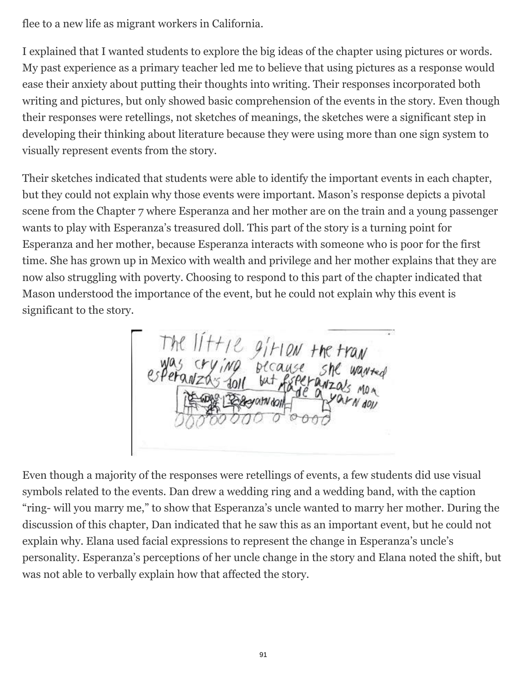flee to a new life as migrant workers in California.

I explained that I wanted students to explore the big ideas of the chapter using pictures or words. My past experience as a primary teacher led me to believe that using pictures as a response would ease their anxiety about putting their thoughts into writing. Their responses incorporated both writing and pictures, but only showed basic comprehension of the events in the story. Even though their responses were retellings, not sketches of meanings, the sketches were a significant step in developing their thinking about literature because they were using more than one sign system to visually represent events from the story.

Their sketches indicated that students were able to identify the important events in each chapter, but they could not explain why those events were important. Mason's response depicts a pivotal scene from the Chapter 7 where Esperanza and her mother are on the train and a young passenger wants to play with Esperanza's treasured doll. This part of the story is a turning point for Esperanza and her mother, because Esperanza interacts with someone who is poor for the first time. She has grown up in Mexico with wealth and privilege and her mother explains that they are now also struggling with poverty. Choosing to respond to this part of the chapter indicated that Mason understood the importance of the event, but he could not explain why this event is significant to the story.

The 11+12 g/HON<br>was crying becaus<br>speranzas foll wither

Even though a majority of the responses were retellings of events, a few students did use visual symbols related to the events. Dan drew a wedding ring and a wedding band, with the caption "ring- will you marry me," to show that Esperanza's uncle wanted to marry her mother. During the discussion of this chapter, Dan indicated that he saw this as an important event, but he could not explain why. Elana used facial expressions to represent the change in Esperanza's uncle's personality. Esperanza's perceptions of her uncle change in the story and Elana noted the shift, but was not able to verbally explain how that affected the story.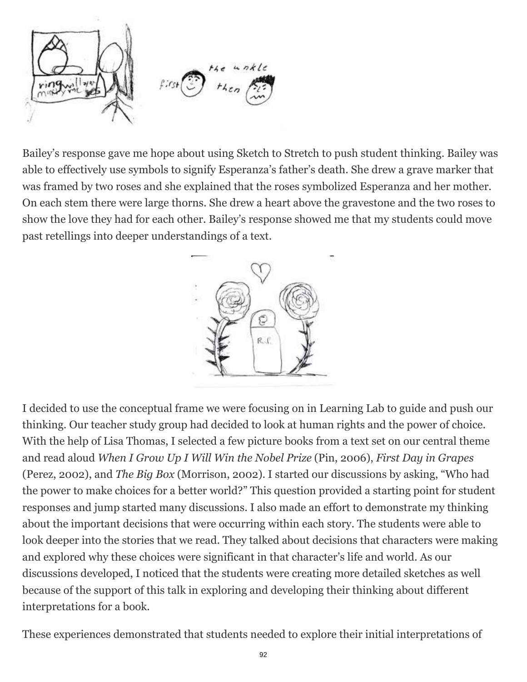

Bailey's response gave me hope about using Sketch to Stretch to push student thinking. Bailey was able to effectively use symbols to signify Esperanza's father's death. She drew a grave marker that was framed by two roses and she explained that the roses symbolized Esperanza and her mother. On each stem there were large thorns. She drew a heart above the gravestone and the two roses to show the love they had for each other. Bailey's response showed me that my students could move past retellings into deeper understandings of a text.



I decided to use the conceptual frame we were focusing on in Learning Lab to guide and push our thinking. Our teacher study group had decided to look at human rights and the power of choice. With the help of Lisa Thomas, I selected a few picture books from a text set on our central theme and read aloud *When I Grow Up I Will Win the Nobel Prize* (Pin, 2006), *First Day in Grapes* (Perez, 2002), and *The Big Box* (Morrison, 2002). I started our discussions by asking, "Who had the power to make choices for a better world?" This question provided a starting point for student responses and jump started many discussions. I also made an effort to demonstrate my thinking about the important decisions that were occurring within each story. The students were able to look deeper into the stories that we read. They talked about decisions that characters were making and explored why these choices were significant in that character's life and world. As our discussions developed, I noticed that the students were creating more detailed sketches as well because of the support of this talk in exploring and developing their thinking about different interpretations for a book.

These experiences demonstrated that students needed to explore their initial interpretations of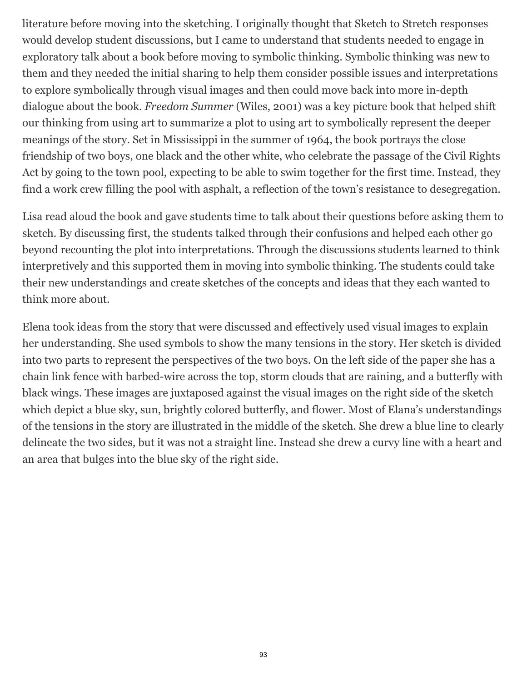literature before moving into the sketching. I originally thought that Sketch to Stretch responses would develop student discussions, but I came to understand that students needed to engage in exploratory talk about a book before moving to symbolic thinking. Symbolic thinking was new to them and they needed the initial sharing to help them consider possible issues and interpretations to explore symbolically through visual images and then could move back into more in-depth dialogue about the book. *Freedom Summer* (Wiles, 2001) was a key picture book that helped shift our thinking from using art to summarize a plot to using art to symbolically represent the deeper meanings of the story. Set in Mississippi in the summer of 1964, the book portrays the close friendship of two boys, one black and the other white, who celebrate the passage of the Civil Rights Act by going to the town pool, expecting to be able to swim together for the first time. Instead, they find a work crew filling the pool with asphalt, a reflection of the town's resistance to desegregation.

Lisa read aloud the book and gave students time to talk about their questions before asking them to sketch. By discussing first, the students talked through their confusions and helped each other go beyond recounting the plot into interpretations. Through the discussions students learned to think interpretively and this supported them in moving into symbolic thinking. The students could take their new understandings and create sketches of the concepts and ideas that they each wanted to think more about.

Elena took ideas from the story that were discussed and effectively used visual images to explain her understanding. She used symbols to show the many tensions in the story. Her sketch is divided into two parts to represent the perspectives of the two boys. On the left side of the paper she has a chain link fence with barbed-wire across the top, storm clouds that are raining, and a butterfly with black wings. These images are juxtaposed against the visual images on the right side of the sketch which depict a blue sky, sun, brightly colored butterfly, and flower. Most of Elana's understandings of the tensions in the story are illustrated in the middle of the sketch. She drew a blue line to clearly delineate the two sides, but it was not a straight line. Instead she drew a curvy line with a heart and an area that bulges into the blue sky of the right side.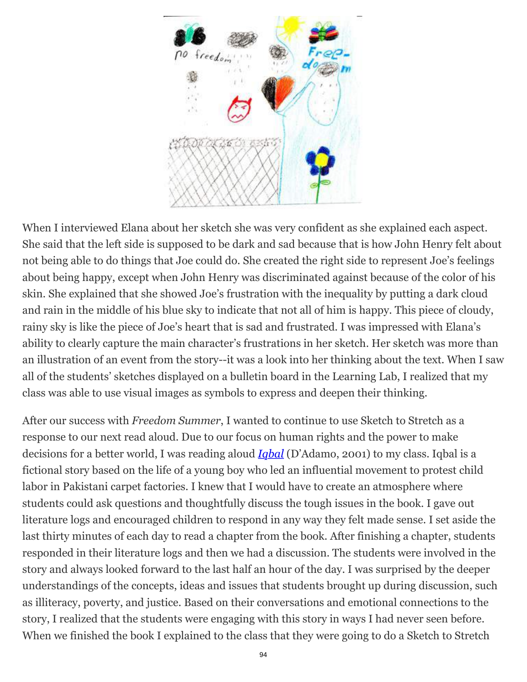

When I interviewed Elana about her sketch she was very confident as she explained each aspect. She said that the left side is supposed to be dark and sad because that is how John Henry felt about not being able to do things that Joe could do. She created the right side to represent Joe's feelings about being happy, except when John Henry was discriminated against because of the color of his skin. She explained that she showed Joe's frustration with the inequality by putting a dark cloud and rain in the middle of his blue sky to indicate that not all of him is happy. This piece of cloudy, rainy sky is like the piece of Joe's heart that is sad and frustrated. I was impressed with Elana's ability to clearly capture the main character's frustrations in her sketch. Her sketch was more than an illustration of an event from the story--it was a look into her thinking about the text. When I saw all of the students' sketches displayed on a bulletin board in the Learning Lab, I realized that my class was able to use visual images as symbols to express and deepen their thinking.

After our success with *Freedom Summer*, I wanted to continue to use Sketch to Stretch as a response to our next read aloud. Due to our focus on human rights and the power to make decisions for a better world, I was reading aloud *[Iqbal](http://wowlit.org/catalog/9780689854453/)* (D'Adamo, 2001) to my class. Iqbal is a fictional story based on the life of a young boy who led an influential movement to protest child labor in Pakistani carpet factories. I knew that I would have to create an atmosphere where students could ask questions and thoughtfully discuss the tough issues in the book. I gave out literature logs and encouraged children to respond in any way they felt made sense. I set aside the last thirty minutes of each day to read a chapter from the book. After finishing a chapter, students responded in their literature logs and then we had a discussion. The students were involved in the story and always looked forward to the last half an hour of the day. I was surprised by the deeper understandings of the concepts, ideas and issues that students brought up during discussion, such as illiteracy, poverty, and justice. Based on their conversations and emotional connections to the story, I realized that the students were engaging with this story in ways I had never seen before. When we finished the book I explained to the class that they were going to do a Sketch to Stretch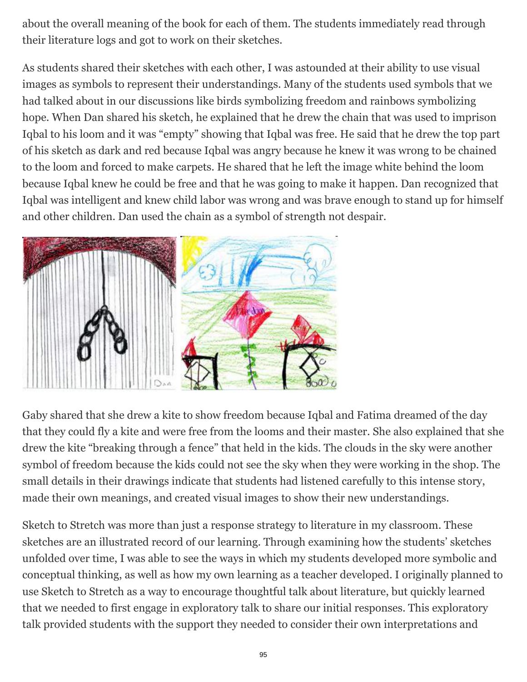about the overall meaning of the book for each of them. The students immediately read through their literature logs and got to work on their sketches.

As students shared their sketches with each other, I was astounded at their ability to use visual images as symbols to represent their understandings. Many of the students used symbols that we had talked about in our discussions like birds symbolizing freedom and rainbows symbolizing hope. When Dan shared his sketch, he explained that he drew the chain that was used to imprison Iqbal to his loom and it was "empty" showing that Iqbal was free. He said that he drew the top part of his sketch as dark and red because Iqbal was angry because he knew it was wrong to be chained to the loom and forced to make carpets. He shared that he left the image white behind the loom because Iqbal knew he could be free and that he was going to make it happen. Dan recognized that Iqbal was intelligent and knew child labor was wrong and was brave enough to stand up for himself and other children. Dan used the chain as a symbol of strength not despair.



Gaby shared that she drew a kite to show freedom because Iqbal and Fatima dreamed of the day that they could fly a kite and were free from the looms and their master. She also explained that she drew the kite "breaking through a fence" that held in the kids. The clouds in the sky were another symbol of freedom because the kids could not see the sky when they were working in the shop. The small details in their drawings indicate that students had listened carefully to this intense story, made their own meanings, and created visual images to show their new understandings.

Sketch to Stretch was more than just a response strategy to literature in my classroom. These sketches are an illustrated record of our learning. Through examining how the students' sketches unfolded over time, I was able to see the ways in which my students developed more symbolic and conceptual thinking, as well as how my own learning as a teacher developed. I originally planned to use Sketch to Stretch as a way to encourage thoughtful talk about literature, but quickly learned that we needed to first engage in exploratory talk to share our initial responses. This exploratory talk provided students with the support they needed to consider their own interpretations and